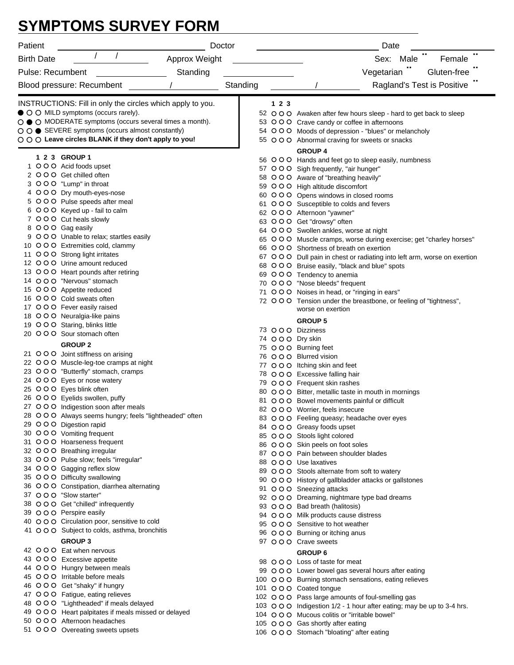## **SYMPTOMS SURVEY FORM**

| Patient                                                                                         | Doctor        |          |                     | Date                                                                                                            |  |
|-------------------------------------------------------------------------------------------------|---------------|----------|---------------------|-----------------------------------------------------------------------------------------------------------------|--|
| <b>Birth Date</b>                                                                               | Approx Weight |          | Female<br>Sex: Male |                                                                                                                 |  |
| <b>Pulse: Recumbent</b>                                                                         | Standing      |          |                     | Vegetarian "<br>Gluten-free                                                                                     |  |
| Blood pressure: Recumbent                                                                       |               | Standing |                     | Ragland's Test is Positive                                                                                      |  |
|                                                                                                 |               |          |                     |                                                                                                                 |  |
| INSTRUCTIONS: Fill in only the circles which apply to you.                                      |               |          | 123                 |                                                                                                                 |  |
| • O O MILD symptoms (occurs rarely).<br>○ ● ○ MODERATE symptoms (occurs several times a month). |               |          |                     | 52 O O O Awaken after few hours sleep - hard to get back to sleep<br>53 OOO Crave candy or coffee in afternoons |  |
| ○ ○ ● SEVERE symptoms (occurs almost constantly)                                                |               |          |                     | 54 O O O Moods of depression - "blues" or melancholy                                                            |  |
| ○ ○ ○ Leave circles BLANK if they don't apply to you!                                           |               |          |                     | 55 O O O Abnormal craving for sweets or snacks                                                                  |  |
| 1 2 3 GROUP 1                                                                                   |               |          |                     | <b>GROUP 4</b>                                                                                                  |  |
| 1 O O O Acid foods upset                                                                        |               |          |                     | 56 O O O Hands and feet go to sleep easily, numbness                                                            |  |
| 2 OOO Get chilled often                                                                         |               |          |                     | 57 OOO Sigh frequently, "air hunger"<br>58 OOO Aware of "breathing heavily"                                     |  |
| 3 OOO "Lump" in throat                                                                          |               |          |                     | 59 OOO High altitude discomfort                                                                                 |  |
| 4 OOO Dry mouth-eyes-nose                                                                       |               |          |                     | 60 O O O Opens windows in closed rooms                                                                          |  |
| 5 OOO Pulse speeds after meal                                                                   |               |          |                     | 61 OOO Susceptible to colds and fevers                                                                          |  |
| 6 OOO Keyed up - fail to calm                                                                   |               |          |                     | 62 OOO Afternoon "yawner"                                                                                       |  |
| 7 OOO Cut heals slowly<br>8 OOO Gag easily                                                      |               |          |                     | 63 OOO Get "drowsy" often                                                                                       |  |
| 9 OOO Unable to relax; startles easily                                                          |               |          |                     | 64 O O O Swollen ankles, worse at night                                                                         |  |
| 10 OOO Extremities cold, clammy                                                                 |               |          |                     | 65 O O O Muscle cramps, worse during exercise; get "charley horses"<br>66 O O O Shortness of breath on exertion |  |
| 11 O O O Strong light irritates                                                                 |               |          |                     | 67 O O O Dull pain in chest or radiating into left arm, worse on exertion                                       |  |
| 12 O O O Urine amount reduced                                                                   |               |          |                     | 68 OOO Bruise easily, "black and blue" spots                                                                    |  |
| 13 OOO Heart pounds after retiring                                                              |               |          |                     | 69 OOO Tendency to anemia                                                                                       |  |
| 14 O O O "Nervous" stomach                                                                      |               |          |                     | 70 OOO "Nose bleeds" frequent                                                                                   |  |
| 15 O O O Appetite reduced<br>16 OOO Cold sweats often                                           |               |          |                     | 71 OOO Noises in head, or "ringing in ears"                                                                     |  |
| 17 O O O Fever easily raised                                                                    |               |          |                     | 72 O O O Tension under the breastbone, or feeling of "tightness",<br>worse on exertion                          |  |
| 18 O O O Neuralgia-like pains                                                                   |               |          |                     |                                                                                                                 |  |
| 19 O O O Staring, blinks little                                                                 |               |          |                     | <b>GROUP 5</b>                                                                                                  |  |
| 20 O O O Sour stomach often                                                                     |               |          |                     | 73 OOO Dizziness<br>74 OOO Dry skin                                                                             |  |
| <b>GROUP 2</b>                                                                                  |               |          |                     | 75 OOO Burning feet                                                                                             |  |
| 21 OOO Joint stiffness on arising                                                               |               |          |                     | 76 OOO Blurred vision                                                                                           |  |
| 22 OOO Muscle-leg-toe cramps at night                                                           |               |          |                     | 77 OOO Itching skin and feet                                                                                    |  |
| 23 O O O "Butterfly" stomach, cramps<br>24 OOO Eyes or nose watery                              |               |          |                     | 78 OOO Excessive falling hair                                                                                   |  |
| 25 OOO Eyes blink often                                                                         |               |          |                     | 79 OOO Frequent skin rashes                                                                                     |  |
| 26 OOO Eyelids swollen, puffy                                                                   |               |          |                     | 80 O O O Bitter, metallic taste in mouth in mornings<br>81 O O O Bowel movements painful or difficult           |  |
| 27 O O O Indigestion soon after meals                                                           |               |          |                     | 82 OOO Worrier, feels insecure                                                                                  |  |
| 28 O O O Always seems hungry; feels "lightheaded" often                                         |               |          |                     | 83 O O O Feeling queasy; headache over eyes                                                                     |  |
| 29 OOO Digestion rapid                                                                          |               |          |                     | 84 O O O Greasy foods upset                                                                                     |  |
| 30 O O O Vomiting frequent                                                                      |               |          |                     | 85 OOO Stools light colored                                                                                     |  |
| 31 OOO Hoarseness frequent<br>32 OOO Breathing irregular                                        |               |          |                     | 86 OOO Skin peels on foot soles                                                                                 |  |
| 33 OOO Pulse slow; feels "irregular"                                                            |               |          |                     | 87 O O O Pain between shoulder blades                                                                           |  |
| 34 O O O Gagging reflex slow                                                                    |               |          |                     | 88 O O O Use laxatives<br>89 O O O Stools alternate from soft to watery                                         |  |
| 35 O O O Difficulty swallowing                                                                  |               |          |                     | 90 O O O History of gallbladder attacks or gallstones                                                           |  |
| 36 O O O Constipation, diarrhea alternating                                                     |               |          |                     | 91 O O O Sneezing attacks                                                                                       |  |
| 37 OOO "Slow starter"                                                                           |               |          |                     | 92 O O O Dreaming, nightmare type bad dreams                                                                    |  |
| 38 OOO Get "chilled" infrequently                                                               |               |          |                     | 93 O O O Bad breath (halitosis)                                                                                 |  |
| 39 O O O Perspire easily<br>40 O O O Circulation poor, sensitive to cold                        |               |          |                     | 94 OOO Milk products cause distress                                                                             |  |
| 41 O O O Subject to colds, asthma, bronchitis                                                   |               |          |                     | 95 OOO Sensitive to hot weather                                                                                 |  |
| <b>GROUP 3</b>                                                                                  |               |          |                     | 96 OOO Burning or itching anus<br>97 O O O Crave sweets                                                         |  |
| 42 OOO Eat when nervous                                                                         |               |          |                     | <b>GROUP 6</b>                                                                                                  |  |
| 43 O O C Excessive appetite                                                                     |               |          |                     | 98 O O O Loss of taste for meat                                                                                 |  |
| 44 O O O Hungry between meals                                                                   |               |          |                     | 99 O O O Lower bowel gas several hours after eating                                                             |  |
| 45 O O O Irritable before meals                                                                 |               |          |                     | 100 O O O Burning stomach sensations, eating relieves                                                           |  |
| 46 OOO Get "shaky" if hungry                                                                    |               |          |                     | 101 O O O Coated tongue                                                                                         |  |
| 47 O O O Fatigue, eating relieves                                                               |               |          |                     | 102 OOO Pass large amounts of foul-smelling gas                                                                 |  |
| 48 OOO "Lightheaded" if meals delayed<br>49 O O O Heart palpitates if meals missed or delayed   |               |          |                     | 103 O O O Indigestion 1/2 - 1 hour after eating; may be up to 3-4 hrs.                                          |  |
| 50 OOO Afternoon headaches                                                                      |               |          |                     | 104 O O O Mucous colitis or "irritable bowel"                                                                   |  |
| 51 OOO Overeating sweets upsets                                                                 |               |          |                     | 105 O O O Gas shortly after eating                                                                              |  |
|                                                                                                 |               |          |                     | 106 O O O Stomach "bloating" after eating                                                                       |  |